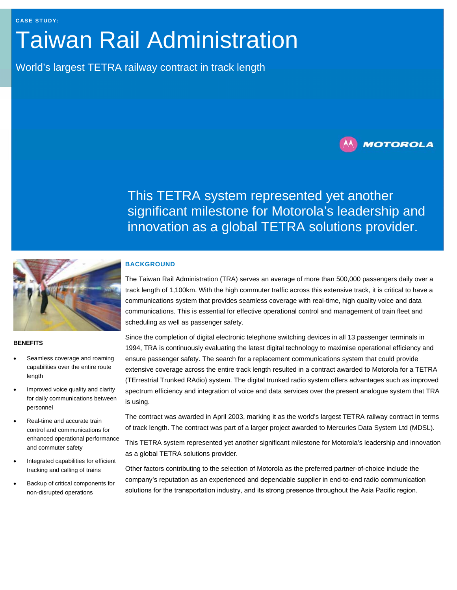# Taiwan Rail Administration

World's largest TETRA railway contract in track length



This TETRA system represented yet another significant milestone for Motorola's leadership and innovation as a global TETRA solutions provider.



#### **BENEFITS**

- Seamless coverage and roaming capabilities over the entire route length
- Improved voice quality and clarity for daily communications between personnel
- Real-time and accurate train control and communications for enhanced operational performance and commuter safety
- Integrated capabilities for efficient tracking and calling of trains
- Backup of critical components for non-disrupted operations

#### **BACKGROUND**

The Taiwan Rail Administration (TRA) serves an average of more than 500,000 passengers daily over a track length of 1,100km. With the high commuter traffic across this extensive track, it is critical to have a communications system that provides seamless coverage with real-time, high quality voice and data communications. This is essential for effective operational control and management of train fleet and scheduling as well as passenger safety.

Since the completion of digital electronic telephone switching devices in all 13 passenger terminals in 1994, TRA is continuously evaluating the latest digital technology to maximise operational efficiency and ensure passenger safety. The search for a replacement communications system that could provide extensive coverage across the entire track length resulted in a contract awarded to Motorola for a TETRA (TErrestrial Trunked RAdio) system. The digital trunked radio system offers advantages such as improved spectrum efficiency and integration of voice and data services over the present analogue system that TRA is using.

The contract was awarded in April 2003, marking it as the world's largest TETRA railway contract in terms of track length. The contract was part of a larger project awarded to Mercuries Data System Ltd (MDSL).

This TETRA system represented yet another significant milestone for Motorola's leadership and innovation as a global TETRA solutions provider.

Other factors contributing to the selection of Motorola as the preferred partner-of-choice include the company's reputation as an experienced and dependable supplier in end-to-end radio communication solutions for the transportation industry, and its strong presence throughout the Asia Pacific region.